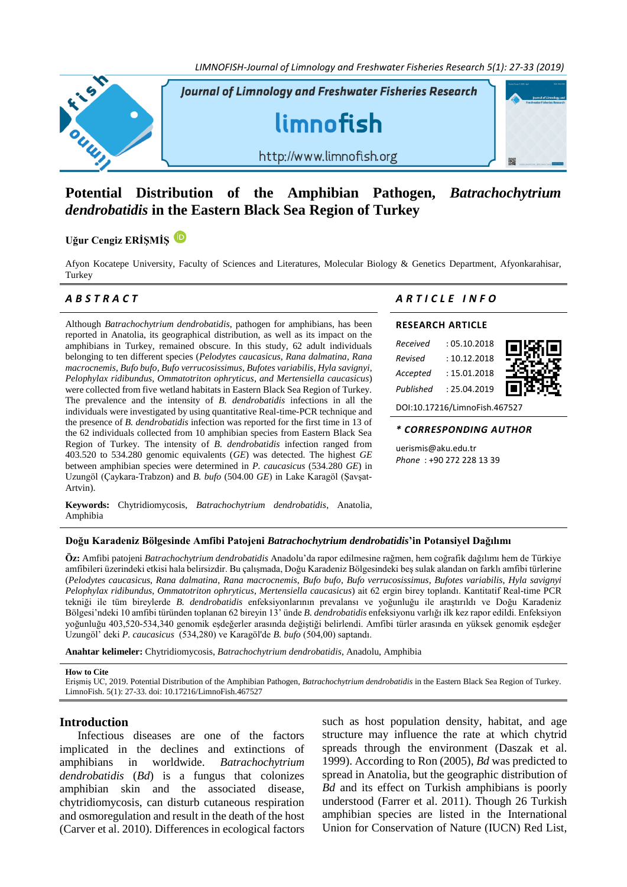*LIMNOFISH-Journal of Limnology and Freshwater Fisheries Research 5(1): 27-33 (2019)*



# **Potential Distribution of the Amphibian Pathogen,** *Batrachochytrium dendrobatidis* **in the Eastern Black Sea Region of Turkey**

# **Uğur Cengiz ERİŞMİŞ**

Afyon Kocatepe University, Faculty of Sciences and Literatures, Molecular Biology & Genetics Department, Afyonkarahisar, Turkey

Although *Batrachochytrium dendrobatidis*, pathogen for amphibians, has been reported in Anatolia, its geographical distribution, as well as its impact on the amphibians in Turkey, remained obscure. In this study, 62 adult individuals belonging to ten different species (*Pelodytes caucasicus*, *Rana dalmatina*, *Rana macrocnemis*, *Bufo bufo*, *Bufo verrucosissimus*, *Bufotes variabilis*, *Hyla savignyi*, *Pelophylax ridibundus*, *Ommatotriton ophryticus*, *and Mertensiella caucasicus*) were collected from five wetland habitats in Eastern Black Sea Region of Turkey. The prevalence and the intensity of *B. dendrobatidis* infections in all the individuals were investigated by using quantitative Real-time-PCR technique and the presence of *B. dendrobatidis* infection was reported for the first time in 13 of the 62 individuals collected from 10 amphibian species from Eastern Black Sea Region of Turkey. The intensity of *B. dendrobatidis* infection ranged from 403.520 to 534.280 genomic equivalents (*GE*) was detected. The highest *GE* between amphibian species were determined in *P. caucasicus* (534.280 *GE*) in Uzungöl (Çaykara-Trabzon) and *B. bufo* (504.00 *GE*) in Lake Karagöl (Şavşat-Artvin).

**Keywords:** Chytridiomycosis, *Batrachochytrium dendrobatidis*, Anatolia, Amphibia

# *A B S T R A C T A R T I C L E I N F O*

# **RESEARCH ARTICLE**

| Received  | :05.10.2018  |  |
|-----------|--------------|--|
| Revised   | : 10.12.2018 |  |
| Accepted  | : 15.01.2018 |  |
| Published | : 25.04.2019 |  |

DOI[:10.17216/LimnoFish.467527](http://doi.org/10.17216/LimnoFish.467527)

### *\* CORRESPONDING AUTHOR*

uerismis@aku.edu.tr *Phone* : +90 272 228 13 39

# **Doğu Karadeniz Bölgesinde Amfibi Patojeni** *Batrachochytrium dendrobatidis***'in Potansiyel Dağılımı**

**Öz:** Amfibi patojeni *Batrachochytrium dendrobatidis* Anadolu'da rapor edilmesine rağmen, hem coğrafik dağılımı hem de Türkiye amfibileri üzerindeki etkisi hala belirsizdir. Bu çalışmada, Doğu Karadeniz Bölgesindeki beş sulak alandan on farklı amfibi türlerine (*Pelodytes caucasicus*, *Rana dalmatina*, *Rana macrocnemis*, *Bufo bufo*, *Bufo verrucosissimus*, *Bufotes variabilis*, *Hyla savignyi Pelophylax ridibundus*, *Ommatotriton ophryticus*, *Mertensiella caucasicus*) ait 62 ergin birey toplandı. Kantitatif Real-time PCR tekniği ile tüm bireylerde *B. dendrobatidis* enfeksiyonlarının prevalansı ve yoğunluğu ile araştırıldı ve Doğu Karadeniz Bölgesi'ndeki 10 amfibi türünden toplanan 62 bireyin 13' ünde *B. dendrobatidis* enfeksiyonu varlığı ilk kez rapor edildi. Enfeksiyon yoğunluğu 403,520-534,340 genomik eşdeğerler arasında değiştiği belirlendi. Amfibi türler arasında en yüksek genomik eşdeğer Uzungöl' deki *P. caucasicus* (534,280) ve Karagöl'de *B. bufo* (504,00) saptandı.

**Anahtar kelimeler:** Chytridiomycosis, *Batrachochytrium dendrobatidis*, Anadolu, Amphibia

### **How to Cite**

Erişmiş UC, 2019. Potential Distribution of the Amphibian Pathogen, *Batrachochytrium dendrobatidis* in the Eastern Black Sea Region of Turkey. LimnoFish. 5(1): 27-33[. doi: 10.17216/LimnoFish.467527](http://doi.org/10.17216/LimnoFish.467527)

# **Introduction**

Infectious diseases are one of the factors implicated in the declines and extinctions of amphibians in worldwide. *Batrachochytrium dendrobatidis* (*Bd*) is a fungus that colonizes amphibian skin and the associated disease, chytridiomycosis, can disturb cutaneous respiration and osmoregulation and result in the death of the host (Carver et al. 2010). Differences in ecological factors

such as host population density, habitat, and age structure may influence the rate at which chytrid spreads through the environment (Daszak et al. 1999). According to Ron (2005), *Bd* was predicted to spread in Anatolia, but the geographic distribution of *Bd* and its effect on Turkish amphibians is poorly understood (Farrer et al. 2011). Though 26 Turkish amphibian species are listed in the International Union for Conservation of Nature (IUCN) Red List,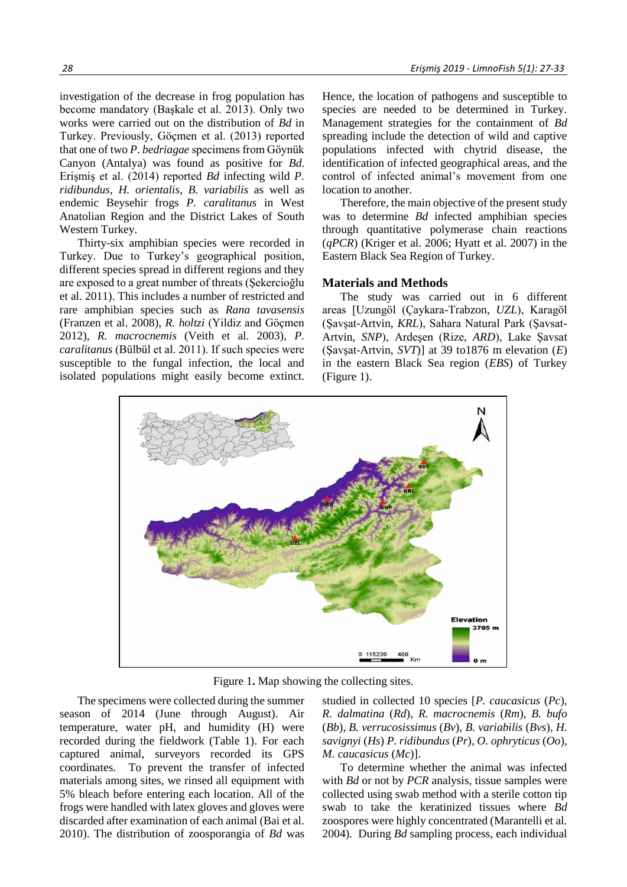investigation of the decrease in frog population has become mandatory (Başkale et al. 2013). Only two works were carried out on the distribution of *Bd* in Turkey. Previously, Göçmen et al. (2013) reported that one of two *P. bedriagae* specimens from Göynük Canyon (Antalya) was found as positive for *Bd*. Erişmiş et al. (2014) reported *Bd* infecting wild *P. ridibundus*, *H. orientalis*, *B. variabilis* as well as endemic Beysehir frogs *P. caralitanus* in West Anatolian Region and the District Lakes of South Western Turkey.

Thirty-six amphibian species were recorded in Turkey. Due to Turkey's geographical position, different species spread in different regions and they are exposed to a great number of threats (Şekercioğlu et al. 2011). This includes a number of restricted and rare amphibian species such as *Rana tavasensis* (Franzen et al. 2008), *R. holtzi* (Yildiz and Göçmen 2012), *R. macrocnemis* (Veith et al. 2003), *P. caralitanus* (Bülbül et al. 2011). If such species were susceptible to the fungal infection, the local and isolated populations might easily become extinct.

Hence, the location of pathogens and susceptible to species are needed to be determined in Turkey. Management strategies for the containment of *Bd* spreading include the detection of wild and captive populations infected with chytrid disease, the identification of infected geographical areas, and the control of infected animal's movement from one location to another.

Therefore, the main objective of the present study was to determine *Bd* infected amphibian species through quantitative polymerase chain reactions (*qPCR*) (Kriger et al. 2006; Hyatt et al. 2007) in the Eastern Black Sea Region of Turkey.

## **Materials and Methods**

The study was carried out in 6 different areas [Uzungöl (Çaykara-Trabzon, *UZL*), Karagöl (Şavşat-Artvin, *KRL*), Sahara Natural Park (Şavsat-Artvin, *SNP*), Ardeşen (Rize, *ARD*), Lake Şavsat (Şavşat-Artvin, *SVT*)] at 39 to1876 m elevation (*E*) in the eastern Black Sea region (*EBS*) of Turkey (Figure 1).



Figure 1**.** Map showing the collecting sites.

The specimens were collected during the summer season of 2014 (June through August). Air temperature, water pH, and humidity (H) were recorded during the fieldwork (Table 1). For each captured animal, surveyors recorded its GPS coordinates. To prevent the transfer of infected materials among sites, we rinsed all equipment with 5% bleach before entering each location. All of the frogs were handled with latex gloves and gloves were discarded after examination of each animal (Bai et al. 2010). The distribution of zoosporangia of *Bd* was

studied in collected 10 species [*P. caucasicus* (*Pc*), *R. dalmatina* (*Rd*), *R. macrocnemis* (*Rm*), *B. bufo*  (*Bb*), *B. verrucosissimus* (*Bv*), *B. variabilis* (*Bvs*), *H. savignyi* (*Hs*) *P. ridibundus* (*Pr*), *O. ophryticus* (*Oo*), *M. caucasicus* (*Mc*)].

To determine whether the animal was infected with *Bd* or not by *PCR* analysis, tissue samples were collected using swab method with a sterile cotton tip swab to take the keratinized tissues where *Bd* zoospores were highly concentrated (Marantelli et al. 2004). During *Bd* sampling process, each individual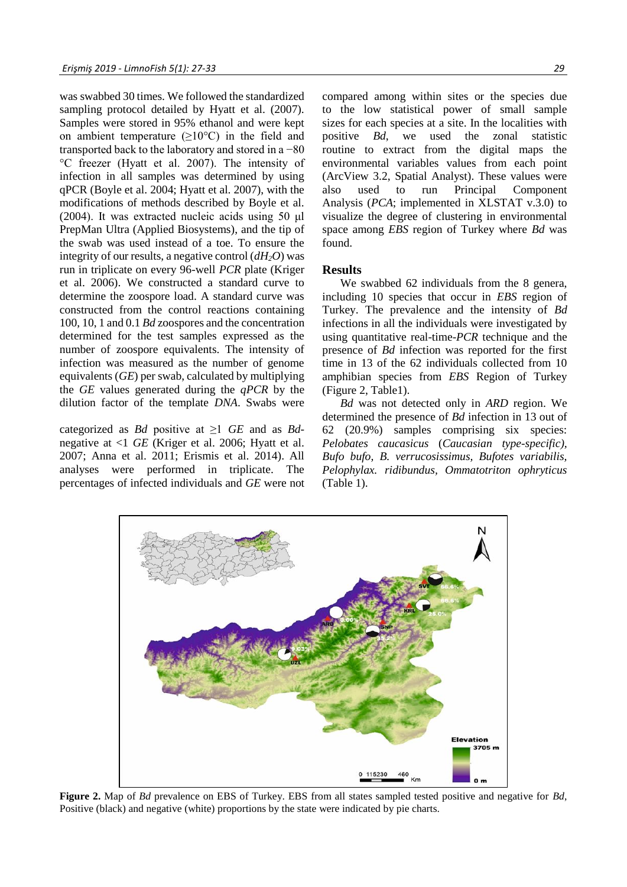was swabbed 30 times. We followed the standardized sampling protocol detailed by Hyatt et al. (2007). Samples were stored in 95% ethanol and were kept on ambient temperature  $(\geq 10^{\circ}C)$  in the field and transported back to the laboratory and stored in a −80 °C freezer (Hyatt et al. 2007). The intensity of infection in all samples was determined by using qPCR (Boyle et al. 2004; Hyatt et al. 2007), with the modifications of methods described by Boyle et al. (2004). It was extracted nucleic acids using 50 μl PrepMan Ultra (Applied Biosystems), and the tip of the swab was used instead of a toe. To ensure the integrity of our results, a negative control (*dH2O*) was run in triplicate on every 96-well *PCR* plate (Kriger et al. 2006). We constructed a standard curve to determine the zoospore load. A standard curve was constructed from the control reactions containing 100, 10, 1 and 0.1 *Bd* zoospores and the concentration determined for the test samples expressed as the number of zoospore equivalents. The intensity of infection was measured as the number of genome equivalents (*GE*) per swab, calculated by multiplying the *GE* values generated during the *qPCR* by the dilution factor of the template *DNA*. Swabs were

categorized as *Bd* positive at  $\geq 1$  *GE* and as *Bd*negative at <1 *GE* (Kriger et al. 2006; Hyatt et al. 2007; Anna et al. 2011; Erismis et al. 2014). All analyses were performed in triplicate. The percentages of infected individuals and *GE* were not compared among within sites or the species due to the low statistical power of small sample sizes for each species at a site. In the localities with positive *Bd*, we used the zonal statistic routine to extract from the digital maps the environmental variables values from each point (ArcView 3.2, Spatial Analyst). These values were also used to run Principal Component Analysis (*PCA*; implemented in XLSTAT v.3.0) to visualize the degree of clustering in environmental space among *EBS* region of Turkey where *Bd* was found.

# **Results**

We swabbed 62 individuals from the 8 genera, including 10 species that occur in *EBS* region of Turkey. The prevalence and the intensity of *Bd*  infections in all the individuals were investigated by using quantitative real-time-*PCR* technique and the presence of *Bd* infection was reported for the first time in 13 of the 62 individuals collected from 10 amphibian species from *EBS* Region of Turkey (Figure 2, Table1).

*Bd* was not detected only in *ARD* region. We determined the presence of *Bd* infection in 13 out of 62 (20.9%) samples comprising six species: *Pelobates caucasicus* (*Caucasian type-specific), Bufo bufo, B. verrucosissimus, Bufotes variabilis, Pelophylax. ridibundus, Ommatotriton ophryticus*  (Table 1).



**Figure 2.** Map of *Bd* prevalence on EBS of Turkey. EBS from all states sampled tested positive and negative for *Bd*, Positive (black) and negative (white) proportions by the state were indicated by pie charts.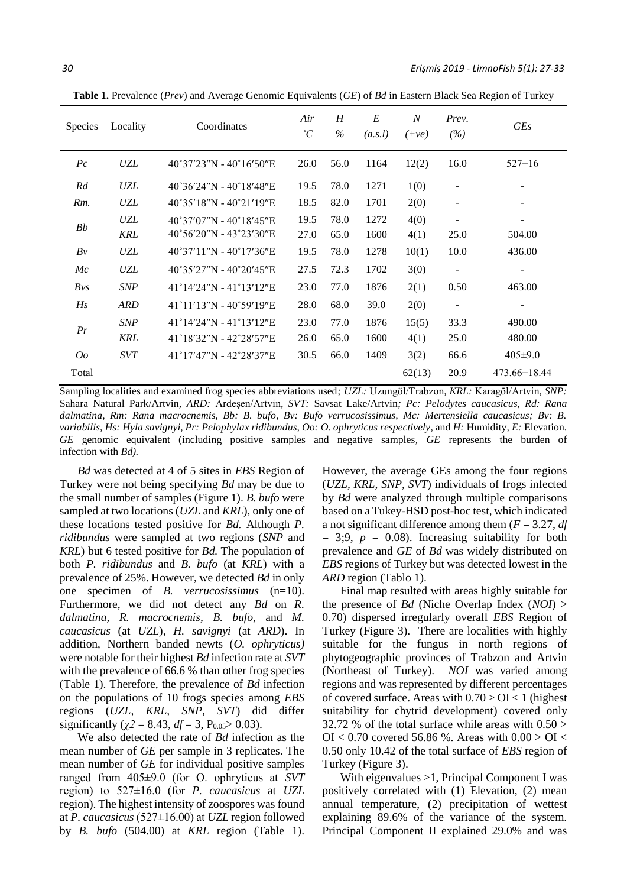| Species                 | Locality                                  | Coordinates                               | Air<br>$\mathcal{C}$ | H<br>$\%$ | E<br>(a.s.l) | $\overline{N}$<br>$(+ve)$ | Prev.<br>(%)             | <b>GEs</b>               |
|-------------------------|-------------------------------------------|-------------------------------------------|----------------------|-----------|--------------|---------------------------|--------------------------|--------------------------|
| $P_{\mathcal{C}}$       | UZL                                       | $40^{\circ}37'23''N - 40^{\circ}16'50''E$ | 26.0                 | 56.0      | 1164         | 12(2)                     | 16.0                     | $527 \pm 16$             |
| Rd                      | <b>UZL</b>                                | $40^{\circ}36'24''N - 40^{\circ}18'48''E$ | 19.5                 | 78.0      | 1271         | 1(0)                      | $\overline{\phantom{a}}$ | $\overline{\phantom{a}}$ |
| $Rm$ .                  | <b>UZL</b>                                | $40^{\circ}35'18''N - 40^{\circ}21'19''E$ | 18.5                 | 82.0      | 1701         | 2(0)                      | $\overline{\phantom{a}}$ |                          |
| <b>UZL</b><br>Bb<br>KRL | $40^{\circ}37'07''N - 40^{\circ}18'45''E$ | 19.5                                      | 78.0                 | 1272      | 4(0)         | $\blacksquare$            | $\overline{\phantom{a}}$ |                          |
|                         |                                           | $40^{\circ}56'20''N - 43^{\circ}23'30''E$ | 27.0                 | 65.0      | 1600         | 4(1)                      | 25.0                     | 504.00                   |
| Bv                      | <b>UZL</b>                                | $40^{\circ}37'11''N - 40^{\circ}17'36''E$ | 19.5                 | 78.0      | 1278         | 10(1)                     | 10.0                     | 436.00                   |
| Mc                      | <b>UZL</b>                                | $40^{\circ}35'27''N - 40^{\circ}20'45''E$ | 27.5                 | 72.3      | 1702         | 3(0)                      | $\overline{\phantom{a}}$ | $\overline{\phantom{a}}$ |
| $Bv_s$                  | <b>SNP</b>                                | $41^{\circ}14'24''N - 41^{\circ}13'12''E$ | 23.0                 | 77.0      | 1876         | 2(1)                      | 0.50                     | 463.00                   |
| Hs                      | <b>ARD</b>                                | $41^{\circ}11'13''N - 40^{\circ}59'19''E$ | 28.0                 | 68.0      | 39.0         | 2(0)                      | $\overline{\phantom{a}}$ | $\overline{\phantom{a}}$ |
| Pr                      | <b>SNP</b>                                | 41°14′24″N - 41°13′12″E                   | 23.0                 | 77.0      | 1876         | 15(5)                     | 33.3                     | 490.00                   |
|                         | KRL                                       | 41°18′32″N - 42°28′57″E                   | 26.0                 | 65.0      | 1600         | 4(1)                      | 25.0                     | 480.00                   |
| O <sub>O</sub>          | <b>SVT</b>                                | 41°17'47"N - 42°28'37"E                   | 30.5                 | 66.0      | 1409         | 3(2)                      | 66.6                     | $405 \pm 9.0$            |
| Total                   |                                           |                                           |                      |           |              | 62(13)                    | 20.9                     | $473.66 \pm 18.44$       |

**Table 1.** Prevalence (*Prev*) and Average Genomic Equivalents (*GE*) of *Bd* in Eastern Black Sea Region of Turkey

Sampling localities and examined frog species abbreviations used*; UZL:* Uzungöl/Trabzon*, KRL:* Karagöl/Artvin*, SNP:*  Sahara Natural Park/Artvin*, ARD:* Ardeşen/Artvin*, SVT:* Savsat Lake/Artvin*; Pc: Pelodytes caucasicus, Rd: Rana dalmatina, Rm: Rana macrocnemis, Bb: B. bufo, Bv: Bufo verrucosissimus, Mc: Mertensiella caucasicus; Bv: B. variabilis, Hs: Hyla savignyi, Pr: Pelophylax ridibundus, Oo: O. ophryticus respectively*, and *H:* Humidity*, E:* Elevation*. GE* genomic equivalent (including positive samples and negative samples*, GE* represents the burden of infection with *Bd).*

*Bd* was detected at 4 of 5 sites in *EBS* Region of Turkey were not being specifying *Bd* may be due to the small number of samples (Figure 1). *B. bufo* were sampled at two locations (*UZL* and *KRL*), only one of these locations tested positive for *Bd.* Although *P. ridibundus* were sampled at two regions (*SNP* and *KRL*) but 6 tested positive for *Bd.* The population of both *P. ridibundus* and *B. bufo* (at *KRL*) with a prevalence of 25%. However, we detected *Bd* in only one specimen of *B. verrucosissimus* (n=10). Furthermore, we did not detect any *Bd* on *R. dalmatina, R. macrocnemis, B. bufo,* and *M. caucasicus* (at *UZL*), *H. savignyi* (at *ARD*). In addition, Northern banded newts (*O. ophryticus)* were notable for their highest *Bd* infection rate at *SVT* with the prevalence of 66.6 % than other frog species (Table 1). Therefore, the prevalence of *Bd* infection on the populations of 10 frogs species among *EBS* regions (*UZL, KRL, SNP, SVT*) did differ significantly ( $\chi$ 2 = 8.43, *df* = 3, P<sub>0.05</sub> > 0.03).

We also detected the rate of *Bd* infection as the mean number of *GE* per sample in 3 replicates. The mean number of *GE* for individual positive samples ranged from 405±9.0 (for O. ophryticus at *SVT* region) to 527±16.0 (for *P. caucasicus* at *UZL* region). The highest intensity of zoospores was found at *P. caucasicus* (527±16.00) at *UZL* region followed by *B. bufo* (504.00) at *KRL* region (Table 1).

However, the average GEs among the four regions (*UZL, KRL, SNP, SVT*) individuals of frogs infected by *Bd* were analyzed through multiple comparisons based on a Tukey-HSD post-hoc test, which indicated a not significant difference among them (*F* = 3.27, *df*  $= 3:9$ ,  $p = 0.08$ ). Increasing suitability for both prevalence and *GE* of *Bd* was widely distributed on *EBS* regions of Turkey but was detected lowest in the *ARD* region (Tablo 1).

Final map resulted with areas highly suitable for the presence of *Bd* (Niche Overlap Index (*NOI*) > 0.70) dispersed irregularly overall *EBS* Region of Turkey (Figure 3). There are localities with highly suitable for the fungus in north regions of phytogeographic provinces of Trabzon and Artvin (Northeast of Turkey). *NOI* was varied among regions and was represented by different percentages of covered surface. Areas with  $0.70 > OI < 1$  (highest suitability for chytrid development) covered only 32.72 % of the total surface while areas with  $0.50 >$ OI <  $0.70$  covered 56.86 %. Areas with  $0.00 > O$ I < 0.50 only 10.42 of the total surface of *EBS* region of Turkey (Figure 3).

With eigenvalues >1, Principal Component I was positively correlated with (1) Elevation, (2) mean annual temperature, (2) precipitation of wettest explaining 89.6% of the variance of the system. Principal Component II explained 29.0% and was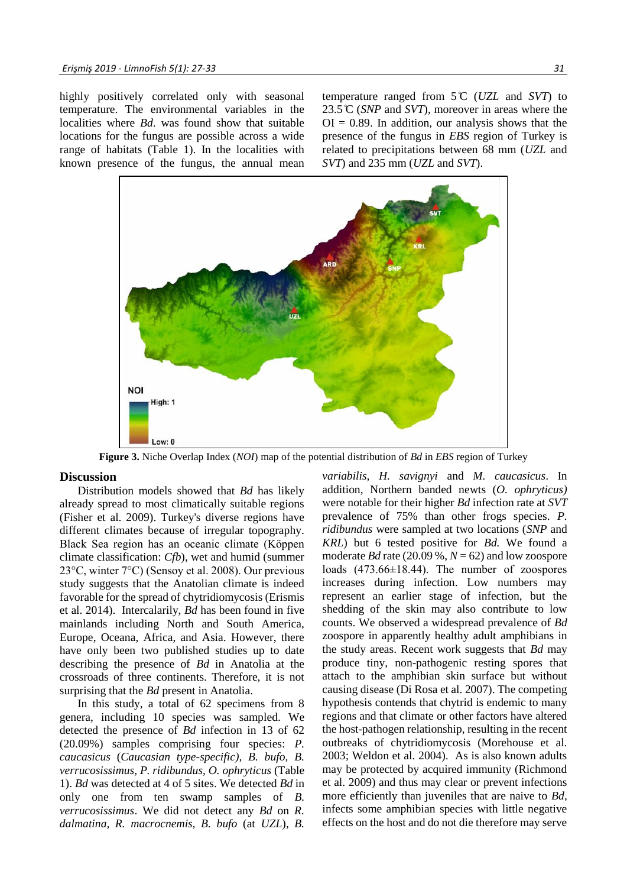highly positively correlated only with seasonal temperature. The environmental variables in the localities where *Bd*. was found show that suitable locations for the fungus are possible across a wide range of habitats (Table 1). In the localities with known presence of the fungus, the annual mean temperature ranged from 5 ̊C (*UZL* and *SVT*) to 23.5 ̊C (*SNP* and *SVT*), moreover in areas where the  $OI = 0.89$ . In addition, our analysis shows that the presence of the fungus in *EBS* region of Turkey is related to precipitations between 68 mm (*UZL* and *SVT*) and 235 mm (*UZL* and *SVT*).



**Figure 3.** Niche Overlap Index (*NOI*) map of the potential distribution of *Bd* in *EBS* region of Turkey

# **Discussion**

Distribution models showed that *Bd* has likely already spread to most climatically suitable regions (Fisher et al. 2009). Turkey's diverse regions have different climates because of irregular topography. Black Sea region has an oceanic climate (Köppen climate classification: *Cfb*), wet and humid (summer 23°C, winter 7°C) (Sensoy et al. 2008). Our previous study suggests that the Anatolian climate is indeed favorable for the spread of chytridiomycosis (Erismis et al. 2014). Intercalarily, *Bd* has been found in five mainlands including North and South America, Europe, Oceana, Africa, and Asia. However, there have only been two published studies up to date describing the presence of *Bd* in Anatolia at the crossroads of three continents. Therefore, it is not surprising that the *Bd* present in Anatolia.

In this study, a total of 62 specimens from 8 genera, including 10 species was sampled. We detected the presence of *Bd* infection in 13 of 62 (20.09%) samples comprising four species: *P. caucasicus* (*Caucasian type-specific), B. bufo, B. verrucosissimus, P. ridibundus, O. ophryticus* (Table 1). *Bd* was detected at 4 of 5 sites. We detected *Bd* in only one from ten swamp samples of *B. verrucosissimus*. We did not detect any *Bd* on *R. dalmatina, R. macrocnemis, B. bufo* (at *UZL*), *B.* 

*variabilis, H. savignyi* and *M. caucasicus*. In addition, Northern banded newts (*O. ophryticus)* were notable for their higher *Bd* infection rate at *SVT* prevalence of 75% than other frogs species. *P. ridibundus* were sampled at two locations (*SNP* and *KRL*) but 6 tested positive for *Bd.* We found a moderate *Bd* rate (20.09 %,  $N = 62$ ) and low zoospore loads (473.66±18.44). The number of zoospores increases during infection. Low numbers may represent an earlier stage of infection, but the shedding of the skin may also contribute to low counts. We observed a widespread prevalence of *Bd* zoospore in apparently healthy adult amphibians in the study areas. Recent work suggests that *Bd* may produce tiny, non-pathogenic resting spores that attach to the amphibian skin surface but without causing disease (Di Rosa et al. 2007). The competing hypothesis contends that chytrid is endemic to many regions and that climate or other factors have altered the host-pathogen relationship, resulting in the recent outbreaks of chytridiomycosis (Morehouse et al. 2003; Weldon et al. 2004). As is also known adults may be protected by acquired immunity (Richmond et al. 2009) and thus may clear or prevent infections more efficiently than juveniles that are naive to *Bd,*  infects some amphibian species with little negative effects on the host and do not die therefore may serve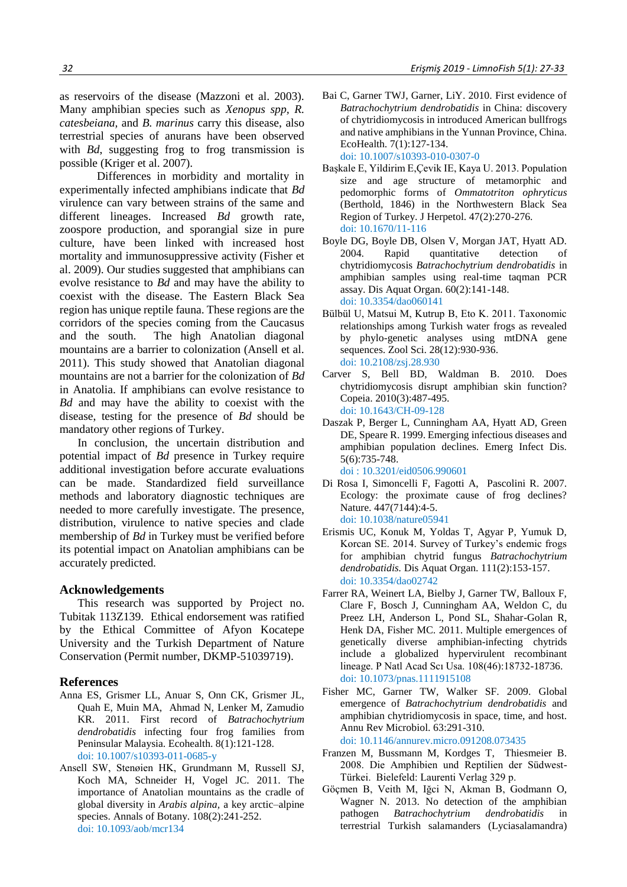as reservoirs of the disease (Mazzoni et al. 2003). Many amphibian species such as *Xenopus spp, R. catesbeiana,* and *B. marinus* carry this disease, also terrestrial species of anurans have been observed with *Bd*, suggesting frog to frog transmission is possible (Kriger et al. 2007).

Differences in morbidity and mortality in experimentally infected amphibians indicate that *Bd*  virulence can vary between strains of the same and different lineages. Increased *Bd* growth rate, zoospore production, and sporangial size in pure culture, have been linked with increased host mortality and immunosuppressive activity (Fisher et al. 2009). Our studies suggested that amphibians can evolve resistance to *Bd* and may have the ability to coexist with the disease. The Eastern Black Sea region has unique reptile fauna. These regions are the corridors of the species coming from the Caucasus and the south. The high Anatolian diagonal mountains are a barrier to colonization (Ansell et al. 2011). This study showed that Anatolian diagonal mountains are not a barrier for the colonization of *Bd* in Anatolia. If amphibians can evolve resistance to *Bd* and may have the ability to coexist with the disease, testing for the presence of *Bd* should be mandatory other regions of Turkey.

In conclusion, the uncertain distribution and potential impact of *Bd* presence in Turkey require additional investigation before accurate evaluations can be made. Standardized field surveillance methods and laboratory diagnostic techniques are needed to more carefully investigate. The presence, distribution, virulence to native species and clade membership of *Bd* in Turkey must be verified before its potential impact on Anatolian amphibians can be accurately predicted.

# **Acknowledgements**

This research was supported by Project no. Tubitak 113Z139. Ethical endorsement was ratified by the Ethical Committee of Afyon Kocatepe University and the Turkish Department of Nature Conservation (Permit number, DKMP-51039719).

### **References**

- Anna ES, Grismer LL, Anuar S, Onn CK, Grismer JL, Quah E, Muin MA, Ahmad N, Lenker M, Zamudio KR. 2011. First record of *Batrachochytrium dendrobatidis* infecting four frog families from Peninsular Malaysia. Ecohealth. 8(1):121-128. doi: [10.1007/s10393-011-0685-y](https://link.springer.com/article/10.1007%2Fs10393-011-0685-y)
- Ansell SW, Stenøien HK, Grundmann M, Russell SJ, Koch MA, Schneider H, Vogel JC. 2011. The importance of Anatolian mountains as the cradle of global diversity in *Arabis alpina,* a key arctic–alpine species. Annals of Botany. 108(2):241-252. doi: [10.1093/aob/mcr134](https://watermark.silverchair.com/mcr134.pdf?token=AQECAHi208BE49Ooan9kkhW_Ercy7Dm3ZL_9Cf3qfKAc485ysgAAAj0wggI5BgkqhkiG9w0BBwagggIqMIICJgIBADCCAh8GCSqGSIb3DQEHATAeBglghkgBZQMEAS4wEQQM5whK-U49pBlzlpgYAgEQgIIB8CIjO2x_00H9QmQaV47UGdvwJ_1980I2clPJzFWpMkTc9BRlhnqcOJribNoNi1K-18XDQKi6jOplfKtr5n5_nxCjk19l3rxqx-ua6x7VqxXJCqTp47XtnehrroXqtQfnm58FumH4mKWqy9QCbNe0IOxwx2lpPUWZdU8slU5nIQWgRLQTCm-29ktdrUgZwkHOZG7lB-JbHA2C7W8wRgoKRb1NrFiBO2nn0UnHcg7IW67BPujwRrJ2sF40pSnBnjx39RGAhEhu--kLT38qvzUffPlw_m5h3kAXmpyTDDT3d9gei3KZWNa75Zi1IcOETprOrQAQfIdTJLCo-JxjToqiU6OU03jlOSodjQlAxyFTMTVi4hQ9AFjEcN7rddrQCXhDGtsi7FTj1ZV91BHeSOyqJ3i2dlCl54rJPCKBiKEZ7486wGDLpjq9Ks_o-IA_0p_OpRvNDwD0Fx6UVxLw2QIMSnUqgJMJSX0i70XBdh4vUb_eb3wjpo1k-z5rwDSetSil85MXY2IO57Rx7a3YupjKDfZ7jUQF_TQFgy-d-wohU5CLKMmpVbVftloUQ1G5VeRhKnzjVkXKaSmN9BH7KjpuRqhTQ3JZYGmEUiCmD_a1zM1f9u9Z4wtxcJVuSvMI0Cl0NIt3GXLROLF9ZzvIuQY6bRA)
- Bai C, Garner TWJ, Garner, LiY. 2010. First evidence of *Batrachochytrium dendrobatidis* in China: discovery of chytridiomycosis in introduced American bullfrogs and native amphibians in the Yunnan Province, China. EcoHealth. 7(1):127-134. doi: [10.1007/s10393-010-0307-0](https://link.springer.com/article/10.1007/s10393-010-0307-0)
- Başkale E, Yildirim E,Çevik IE, Kaya U. 2013. Population size and age structure of metamorphic and pedomorphic forms of *Ommatotriton ophryticus* (Berthold, 1846) in the Northwestern Black Sea Region of Turkey. J Herpetol. 47(2):270-276. doi: [10.1670/11-116](https://bioone.org/journals/journal-of-herpetology/volume-47/issue-2/11-116/Population-Size-and-Age-Structure-of-Metamorphic-and-Pedomorphic-Forms/10.1670/11-116.short)
- Boyle DG, Boyle DB, Olsen V, Morgan JAT, Hyatt AD. 2004. Rapid quantitative detection of chytridiomycosis *Batrachochytrium dendrobatidis* in amphibian samples using real-time taqman PCR assay. Dis Aquat Organ. 60(2):141-148. doi: [10.3354/dao060141](https://www.int-res.com/articles/dao2004/60/d060p141.pdf)
- Bülbül U, Matsui M, Kutrup B, Eto K. 2011. Taxonomic relationships among Turkish water frogs as revealed by phylo-genetic analyses using mtDNA gene sequences. Zool Sci. 28(12):930-936. doi: [10.2108/zsj.28.930](https://bioone.org/journals/zoological-science/volume-28/issue-12/zsj.28.930/Taxonomic-Relationships-among-Turkish-Water-Frogs-as-Revealed-by-Phylogenetic/10.2108/zsj.28.930.short)
- Carver S, Bell BD, Waldman B. 2010. Does chytridiomycosis disrupt amphibian skin function? Copeia. 2010(3):487-495. doi: [10.1643/CH-09-128](https://bioone.org/journals/Copeia/volume-2010/issue-3/CH-09-128/Does-Chytridiomycosis-Disrupt-Amphibian-Skin-Function/10.1643/CH-09-128.short)
- Daszak P, Berger L, Cunningham AA, Hyatt AD, Green DE, Speare R. 1999. Emerging infectious diseases and amphibian population declines. Emerg Infect Dis. 5(6):735-748. doi [: 10.3201/eid0506.990601](https://wwwnc.cdc.gov/eid/article/5/6/pdfs/99-0601.pdf)
- Di Rosa I, Simoncelli F, Fagotti A, Pascolini R. 2007. Ecology: the proximate cause of frog declines? Nature. 447(7144):4-5. doi: [10.1038/nature05941](https://www.nature.com/articles/nature05941)
- Erismis UC, Konuk M, Yoldas T, Agyar P, Yumuk D, Korcan SE. 2014. Survey of Turkey's endemic frogs for amphibian chytrid fungus *Batrachochytrium dendrobatidis.* Dis Aquat Organ. 111(2):153-157. doi: [10.3354/dao02742](https://www.int-res.com/abstracts/dao/v111/n2/p153-157/)
- Farrer RA, Weinert LA, Bielby J, Garner TW, Balloux F, Clare F, Bosch J, Cunningham AA, Weldon C, du Preez LH, Anderson L, Pond SL, Shahar-Golan R, Henk DA, Fisher MC. 2011. Multiple emergences of genetically diverse amphibian-infecting chytrids include a globalized hypervirulent recombinant lineage. P Natl Acad Scı Usa. 108(46):18732-18736. doi: [10.1073/pnas.1111915108](https://www.pnas.org/content/pnas/108/46/18732.full.pdf)
- Fisher MC, Garner TW, Walker SF. 2009. Global emergence of *Batrachochytrium dendrobatidis* and amphibian chytridiomycosis in space, time, and host. Annu Rev Microbiol. 63:291-310. doi: [10.1146/annurev.micro.091208.073435](https://pdfs.semanticscholar.org/8507/2c6fcc214e86d0cd459c6339b0a8b520acc1.pdf)
- Franzen M, Bussmann M, Kordges T, Thiesmeier B. 2008. Die Amphibien und Reptilien der Südwest-Türkei. Bielefeld: Laurenti Verlag 329 p.
- Göçmen B, Veith M, Iğci N, Akman B, Godmann O, Wagner N. 2013. No detection of the amphibian pathogen *Batrachochytrium dendrobatidis* in terrestrial Turkish salamanders (Lyciasalamandra)